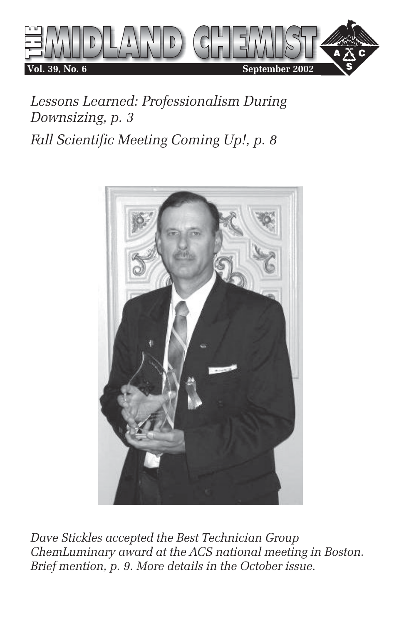

*Lessons Learned: Professionalism During Downsizing, p. 3 Fall Scientific Meeting Coming Up!, p. 8*



*Dave Stickles accepted the Best Technician Group ChemLuminary award at the ACS national meeting in Boston. Brief mention, p. 9. More details in the October issue.*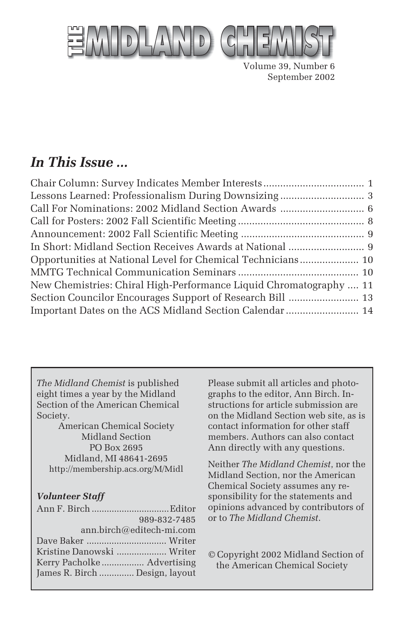

Volume 39, Number 6 September 2002

## *In This Issue ...*

| New Chemistries: Chiral High-Performance Liquid Chromatography  11 |  |
|--------------------------------------------------------------------|--|
|                                                                    |  |
| Important Dates on the ACS Midland Section Calendar  14            |  |

*The Midland Chemist* is published eight times a year by the Midland Section of the American Chemical Society.

American Chemical Society Midland Section PO Box 2695 Midland, MI 48641-2695 http://membership.acs.org/M/Midl

#### *Volunteer Staff*

| 989-832-7485                   |
|--------------------------------|
| ann.birch@editech-mi.com       |
|                                |
| Kristine Danowski  Writer      |
|                                |
| James R. Birch  Design, layout |
|                                |

Please submit all articles and photographs to the editor, Ann Birch. Instructions for article submission are on the Midland Section web site, as is contact information for other staff members. Authors can also contact Ann directly with any questions.

Neither *The Midland Chemist*, nor the Midland Section, nor the American Chemical Society assumes any responsibility for the statements and opinions advanced by contributors of or to *The Midland Chemist*.

© Copyright 2002 Midland Section of the American Chemical Society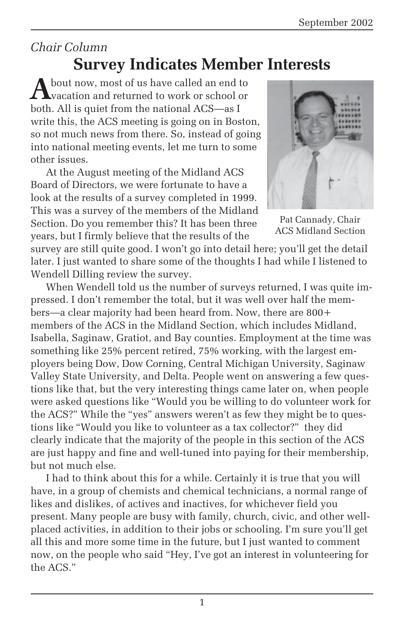## *Chair Column*

# **Survey Indicates Member Interests**

A bout now, most of us have called an end to vacation and returned to work or school or both. All is quiet from the national ACS—as I write this, the ACS meeting is going on in Boston, so not much news from there. So, instead of going into national meeting events, let me turn to some other issues.

At the August meeting of the Midland ACS Board of Directors, we were fortunate to have a look at the results of a survey completed in 1999. This was a survey of the members of the Midland Section. Do you remember this? It has been three years, but I firmly believe that the results of the



Pat Cannady, Chair ACS Midland Section

survey are still quite good. I won't go into detail here; you'll get the detail later. I just wanted to share some of the thoughts I had while I listened to Wendell Dilling review the survey.

When Wendell told us the number of surveys returned, I was quite impressed. I don't remember the total, but it was well over half the members—a clear majority had been heard from. Now, there are 800+ members of the ACS in the Midland Section, which includes Midland, Isabella, Saginaw, Gratiot, and Bay counties. Employment at the time was something like 25% percent retired, 75% working, with the largest employers being Dow, Dow Corning, Central Michigan University, Saginaw Valley State University, and Delta. People went on answering a few questions like that, but the very interesting things came later on, when people were asked questions like "Would you be willing to do volunteer work for the ACS?" While the "yes" answers weren't as few they might be to questions like "Would you like to volunteer as a tax collector?" they did clearly indicate that the majority of the people in this section of the ACS are just happy and fine and well-tuned into paying for their membership, but not much else.

I had to think about this for a while. Certainly it is true that you will have, in a group of chemists and chemical technicians, a normal range of likes and dislikes, of actives and inactives, for whichever field you present. Many people are busy with family, church, civic, and other wellplaced activities, in addition to their jobs or schooling. I'm sure you'll get all this and more some time in the future, but I just wanted to comment now, on the people who said "Hey, I've got an interest in volunteering for the ACS."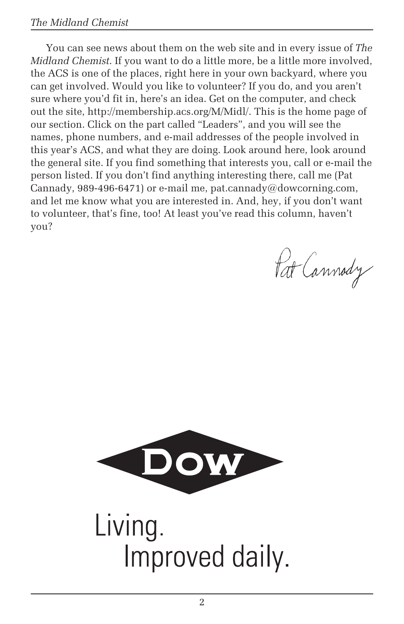#### *The Midland Chemist*

You can see news about them on the web site and in every issue of *The Midland Chemist*. If you want to do a little more, be a little more involved, the ACS is one of the places, right here in your own backyard, where you can get involved. Would you like to volunteer? If you do, and you aren't sure where you'd fit in, here's an idea. Get on the computer, and check out the site, http://membership.acs.org/M/Midl/. This is the home page of our section. Click on the part called "Leaders", and you will see the names, phone numbers, and e-mail addresses of the people involved in this year's ACS, and what they are doing. Look around here, look around the general site. If you find something that interests you, call or e-mail the person listed. If you don't find anything interesting there, call me (Pat Cannady, 989-496-6471) or e-mail me, pat.cannady@dowcorning.com, and let me know what you are interested in. And, hey, if you don't want to volunteer, that's fine, too! At least you've read this column, haven't you?

Pat Cannody

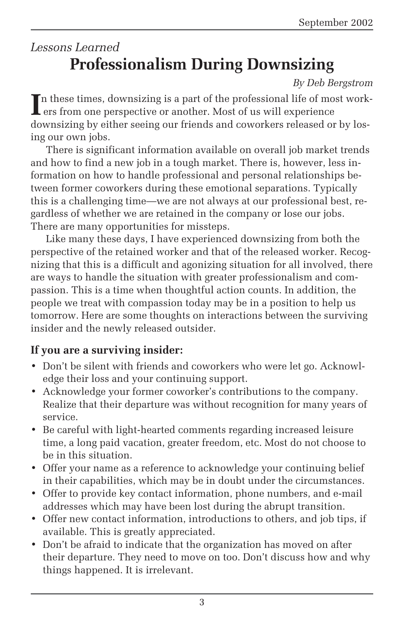## *Lessons Learned* **Professionalism During Downsizing**

*By Deb Bergstrom*

In these times, downsizing is a part of the professional life of mover or another. Most of us will experience n these times, downsizing is a part of the professional life of most work downsizing by either seeing our friends and coworkers released or by losing our own jobs.

There is significant information available on overall job market trends and how to find a new job in a tough market. There is, however, less information on how to handle professional and personal relationships between former coworkers during these emotional separations. Typically this is a challenging time—we are not always at our professional best, regardless of whether we are retained in the company or lose our jobs. There are many opportunities for missteps.

Like many these days, I have experienced downsizing from both the perspective of the retained worker and that of the released worker. Recognizing that this is a difficult and agonizing situation for all involved, there are ways to handle the situation with greater professionalism and compassion. This is a time when thoughtful action counts. In addition, the people we treat with compassion today may be in a position to help us tomorrow. Here are some thoughts on interactions between the surviving insider and the newly released outsider.

#### **If you are a surviving insider:**

- Don't be silent with friends and coworkers who were let go. Acknowledge their loss and your continuing support.
- Acknowledge your former coworker's contributions to the company. Realize that their departure was without recognition for many years of service.
- Be careful with light-hearted comments regarding increased leisure time, a long paid vacation, greater freedom, etc. Most do not choose to be in this situation.
- Offer your name as a reference to acknowledge your continuing belief in their capabilities, which may be in doubt under the circumstances.
- Offer to provide key contact information, phone numbers, and e-mail addresses which may have been lost during the abrupt transition.
- Offer new contact information, introductions to others, and job tips, if available. This is greatly appreciated.
- Don't be afraid to indicate that the organization has moved on after their departure. They need to move on too. Don't discuss how and why things happened. It is irrelevant.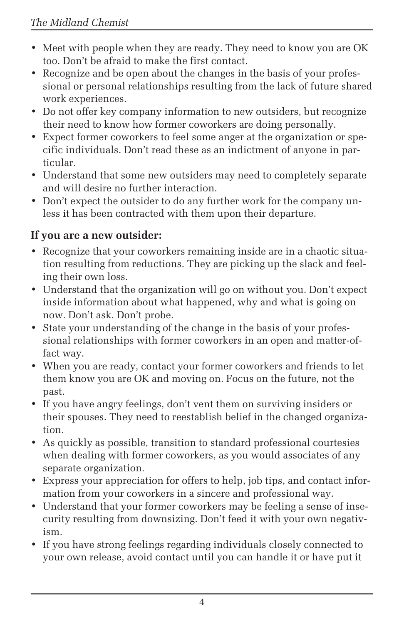- Meet with people when they are ready. They need to know you are OK too. Don't be afraid to make the first contact.
- Recognize and be open about the changes in the basis of your professional or personal relationships resulting from the lack of future shared work experiences.
- Do not offer key company information to new outsiders, but recognize their need to know how former coworkers are doing personally.
- Expect former coworkers to feel some anger at the organization or specific individuals. Don't read these as an indictment of anyone in particular.
- Understand that some new outsiders may need to completely separate and will desire no further interaction.
- Don't expect the outsider to do any further work for the company unless it has been contracted with them upon their departure.

### **If you are a new outsider:**

- Recognize that your coworkers remaining inside are in a chaotic situation resulting from reductions. They are picking up the slack and feeling their own loss.
- Understand that the organization will go on without you. Don't expect inside information about what happened, why and what is going on now. Don't ask. Don't probe.
- State your understanding of the change in the basis of your professional relationships with former coworkers in an open and matter-offact way.
- When you are ready, contact your former coworkers and friends to let them know you are OK and moving on. Focus on the future, not the past.
- If you have angry feelings, don't vent them on surviving insiders or their spouses. They need to reestablish belief in the changed organization.
- As quickly as possible, transition to standard professional courtesies when dealing with former coworkers, as you would associates of any separate organization.
- Express your appreciation for offers to help, job tips, and contact information from your coworkers in a sincere and professional way.
- Understand that your former coworkers may be feeling a sense of insecurity resulting from downsizing. Don't feed it with your own negativism.
- If you have strong feelings regarding individuals closely connected to your own release, avoid contact until you can handle it or have put it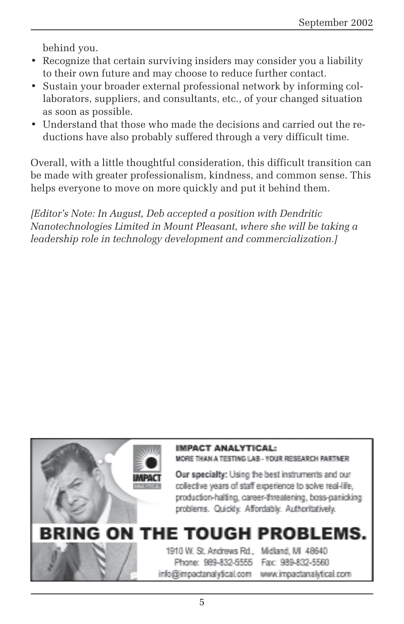behind you.

- Recognize that certain surviving insiders may consider you a liability to their own future and may choose to reduce further contact.
- Sustain your broader external professional network by informing collaborators, suppliers, and consultants, etc., of your changed situation as soon as possible.
- Understand that those who made the decisions and carried out the reductions have also probably suffered through a very difficult time.

Overall, with a little thoughtful consideration, this difficult transition can be made with greater professionalism, kindness, and common sense. This helps everyone to move on more quickly and put it behind them.

*[Editor's Note: In August, Deb accepted a position with Dendritic Nanotechnologies Limited in Mount Pleasant, where she will be taking a leadership role in technology development and commercialization.]*

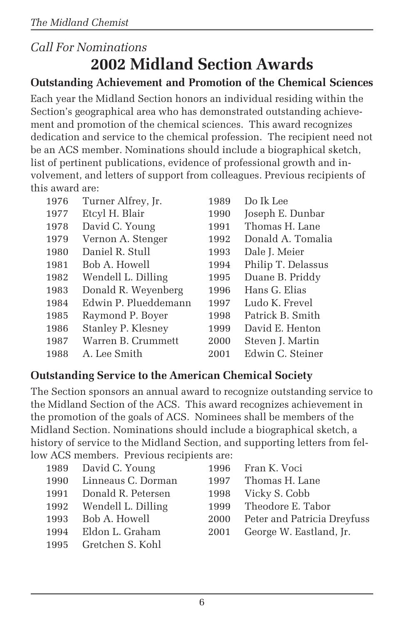# *Call For Nominations* **2002 Midland Section Awards**

### **Outstanding Achievement and Promotion of the Chemical Sciences**

Each year the Midland Section honors an individual residing within the Section's geographical area who has demonstrated outstanding achievement and promotion of the chemical sciences. This award recognizes dedication and service to the chemical profession. The recipient need not be an ACS member. Nominations should include a biographical sketch, list of pertinent publications, evidence of professional growth and involvement, and letters of support from colleagues. Previous recipients of this award are:

| 1976 | Turner Alfrey, Jr.   | 1989 | Do Ik Lee          |
|------|----------------------|------|--------------------|
| 1977 | Etcyl H. Blair       | 1990 | Joseph E. Dunbar   |
| 1978 | David C. Young       | 1991 | Thomas H. Lane     |
| 1979 | Vernon A. Stenger    | 1992 | Donald A. Tomalia  |
| 1980 | Daniel R. Stull      | 1993 | Dale J. Meier      |
| 1981 | Bob A. Howell        | 1994 | Philip T. Delassus |
| 1982 | Wendell L. Dilling   | 1995 | Duane B. Priddy    |
| 1983 | Donald R. Weyenberg  | 1996 | Hans G. Elias      |
| 1984 | Edwin P. Plueddemann | 1997 | Ludo K. Frevel     |
| 1985 | Raymond P. Boyer     | 1998 | Patrick B. Smith   |
| 1986 | Stanley P. Klesney   | 1999 | David E. Henton    |
| 1987 | Warren B. Crummett   | 2000 | Steven J. Martin   |
| 1988 | A. Lee Smith         | 2001 | Edwin C. Steiner   |

### **Outstanding Service to the American Chemical Society**

The Section sponsors an annual award to recognize outstanding service to the Midland Section of the ACS. This award recognizes achievement in the promotion of the goals of ACS. Nominees shall be members of the Midland Section. Nominations should include a biographical sketch, a history of service to the Midland Section, and supporting letters from fellow ACS members. Previous recipients are:

| 1989 David C. Young     |      | 1996 Fran K. Voci                |
|-------------------------|------|----------------------------------|
| 1990 Linneaus C. Dorman |      | 1997 Thomas H. Lane              |
| 1991 Donald R. Petersen |      | 1998 Vicky S. Cobb               |
| 1992 Wendell L. Dilling |      | 1999 Theodore E. Tabor           |
| 1993 Bob A. Howell      |      | 2000 Peter and Patricia Dreyfuss |
| 1994 Eldon L. Graham    | 2001 | George W. Eastland, Jr.          |
| 1995 Gretchen S. Kohl   |      |                                  |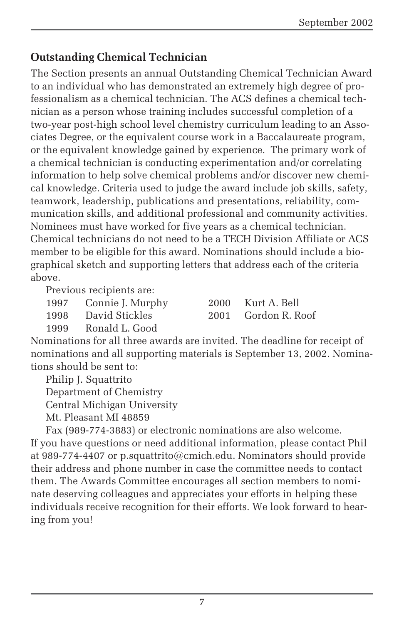#### **Outstanding Chemical Technician**

The Section presents an annual Outstanding Chemical Technician Award to an individual who has demonstrated an extremely high degree of professionalism as a chemical technician. The ACS defines a chemical technician as a person whose training includes successful completion of a two-year post-high school level chemistry curriculum leading to an Associates Degree, or the equivalent course work in a Baccalaureate program, or the equivalent knowledge gained by experience. The primary work of a chemical technician is conducting experimentation and/or correlating information to help solve chemical problems and/or discover new chemical knowledge. Criteria used to judge the award include job skills, safety, teamwork, leadership, publications and presentations, reliability, communication skills, and additional professional and community activities. Nominees must have worked for five years as a chemical technician. Chemical technicians do not need to be a TECH Division Affiliate or ACS member to be eligible for this award. Nominations should include a biographical sketch and supporting letters that address each of the criteria above.

Previous recipients are:

| 1997         | Connie J. Murph                                                                                                                                                                                                                                                                                                                                             |
|--------------|-------------------------------------------------------------------------------------------------------------------------------------------------------------------------------------------------------------------------------------------------------------------------------------------------------------------------------------------------------------|
| $\sqrt{200}$ | $\mathcal{D}$ $\mathcal{D}$ $\mathcal{D}$ $\mathcal{D}$ $\mathcal{D}$ $\mathcal{D}$ $\mathcal{D}$ $\mathcal{D}$ $\mathcal{D}$ $\mathcal{D}$ $\mathcal{D}$ $\mathcal{D}$ $\mathcal{D}$ $\mathcal{D}$ $\mathcal{D}$ $\mathcal{D}$ $\mathcal{D}$ $\mathcal{D}$ $\mathcal{D}$ $\mathcal{D}$ $\mathcal{D}$ $\mathcal{D}$ $\mathcal{D}$ $\mathcal{D}$ $\mathcal{$ |

1997 Nurt A. Bell 1998 David Stickles 2001 Gordon R. Roof

1999 Ronald L. Good

Nominations for all three awards are invited. The deadline for receipt of nominations and all supporting materials is September 13, 2002. Nominations should be sent to:

Philip J. Squattrito

Department of Chemistry

Central Michigan University

Mt. Pleasant MI 48859

Fax (989-774-3883) or electronic nominations are also welcome. If you have questions or need additional information, please contact Phil at 989-774-4407 or p.squattrito@cmich.edu. Nominators should provide their address and phone number in case the committee needs to contact them. The Awards Committee encourages all section members to nominate deserving colleagues and appreciates your efforts in helping these individuals receive recognition for their efforts. We look forward to hearing from you!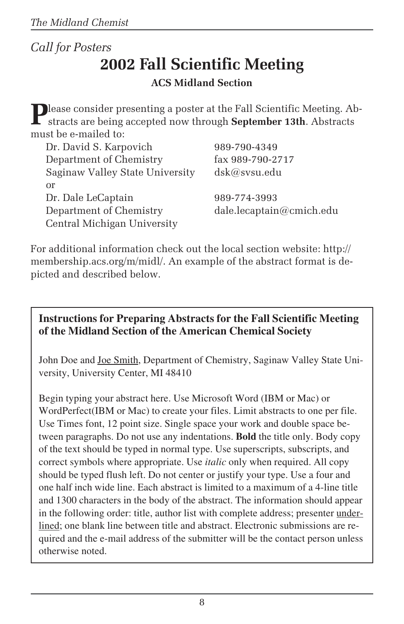### *Call for Posters*

# **2002 Fall Scientific Meeting**

#### **ACS Midland Section**

**Please consider presenting a poster at the Fall Scientific Meeting. Ab**stracts are being accepted now through **September 13th**. Abstracts must be e-mailed to:

| Dr. David S. Karpovich          | 989-790-4349             |
|---------------------------------|--------------------------|
| Department of Chemistry         | fax 989-790-2717         |
| Saginaw Valley State University | dsk@svsu.edu             |
| or                              |                          |
| Dr. Dale LeCaptain              | 989-774-3993             |
| Department of Chemistry         | dale.lecaptain@cmich.edu |
| Central Michigan University     |                          |

For additional information check out the local section website: http:// membership.acs.org/m/midl/. An example of the abstract format is depicted and described below.

#### **Instructions for Preparing Abstracts for the Fall Scientific Meeting of the Midland Section of the American Chemical Society**

John Doe and Joe Smith, Department of Chemistry, Saginaw Valley State University, University Center, MI 48410

Begin typing your abstract here. Use Microsoft Word (IBM or Mac) or WordPerfect(IBM or Mac) to create your files. Limit abstracts to one per file. Use Times font, 12 point size. Single space your work and double space between paragraphs. Do not use any indentations. **Bold** the title only. Body copy of the text should be typed in normal type. Use superscripts, subscripts, and correct symbols where appropriate. Use *italic* only when required. All copy should be typed flush left. Do not center or justify your type. Use a four and one half inch wide line. Each abstract is limited to a maximum of a 4-line title and 1300 characters in the body of the abstract. The information should appear in the following order: title, author list with complete address; presenter underlined; one blank line between title and abstract. Electronic submissions are required and the e-mail address of the submitter will be the contact person unless otherwise noted.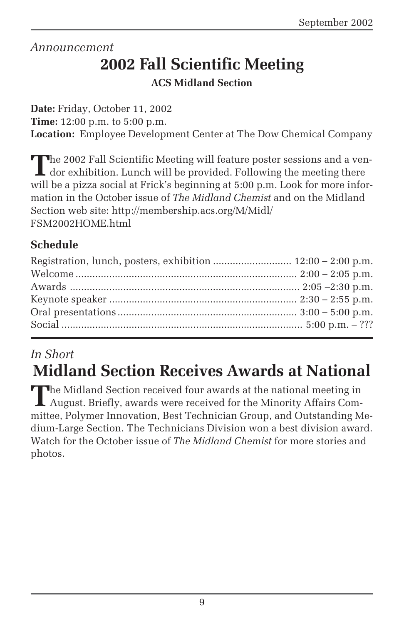#### *Announcement*

# **2002 Fall Scientific Meeting**

#### **ACS Midland Section**

**Date:** Friday, October 11, 2002 **Time:** 12:00 p.m. to 5:00 p.m. **Location:** Employee Development Center at The Dow Chemical Company

The 2002 Fall Scientific Meeting will feature poster sessions and a ven-<br>dor exhibition. Lunch will be provided. Following the meeting there will be a pizza social at Frick's beginning at 5:00 p.m. Look for more information in the October issue of *The Midland Chemist* and on the Midland Section web site: http://membership.acs.org/M/Midl/ FSM2002HOME.html

### **Schedule**

| Registration, lunch, posters, exhibition  12:00 - 2:00 p.m. |  |
|-------------------------------------------------------------|--|
|                                                             |  |
|                                                             |  |
|                                                             |  |
|                                                             |  |
|                                                             |  |
|                                                             |  |

## *In Short*

# **Midland Section Receives Awards at National**

**The Midland Section received four awards at the national meeting in** August. Briefly, awards were received for the Minority Affairs Committee, Polymer Innovation, Best Technician Group, and Outstanding Medium-Large Section. The Technicians Division won a best division award. Watch for the October issue of *The Midland Chemist* for more stories and photos.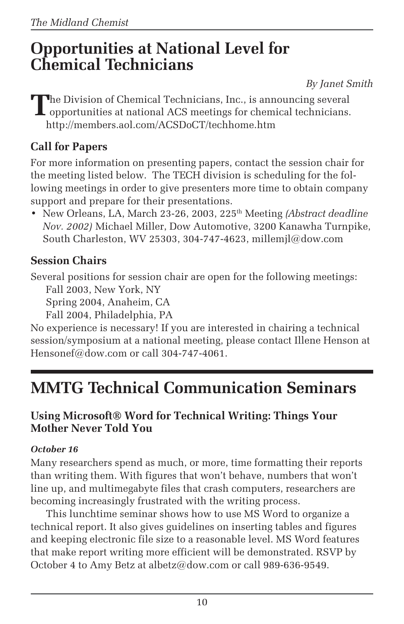# **Opportunities at National Level for Chemical Technicians**

*By Janet Smith*

The Division of Chemical Technicians, Inc., is announcing several<br>opportunities at national ACS meetings for chemical technicians. http://members.aol.com/ACSDoCT/techhome.htm

### **Call for Papers**

For more information on presenting papers, contact the session chair for the meeting listed below. The TECH division is scheduling for the following meetings in order to give presenters more time to obtain company support and prepare for their presentations.

• New Orleans, LA, March 23-26, 2003, 225<sup>th</sup> Meeting *(Abstract deadline*) *Nov. 2002)* Michael Miller, Dow Automotive, 3200 Kanawha Turnpike, South Charleston, WV 25303, 304-747-4623, millemjl@dow.com

### **Session Chairs**

Several positions for session chair are open for the following meetings:

Fall 2003, New York, NY

Spring 2004, Anaheim, CA

Fall 2004, Philadelphia, PA

No experience is necessary! If you are interested in chairing a technical session/symposium at a national meeting, please contact Illene Henson at Hensonef@dow.com or call 304-747-4061.

# **MMTG Technical Communication Seminars**

#### **Using Microsoft® Word for Technical Writing: Things Your Mother Never Told You**

#### *October 16*

Many researchers spend as much, or more, time formatting their reports than writing them. With figures that won't behave, numbers that won't line up, and multimegabyte files that crash computers, researchers are becoming increasingly frustrated with the writing process.

This lunchtime seminar shows how to use MS Word to organize a technical report. It also gives guidelines on inserting tables and figures and keeping electronic file size to a reasonable level. MS Word features that make report writing more efficient will be demonstrated. RSVP by October 4 to Amy Betz at albetz@dow.com or call 989-636-9549.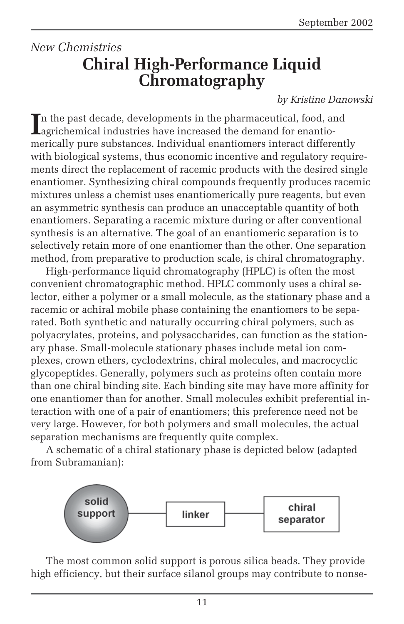## *New Chemistries* **Chiral High-Performance Liquid Chromatography**

#### *by Kristine Danowski*

In the past decade, developments in the pharmaceutical, food, and agrichemical industries have increased the demand for enantion the past decade, developments in the pharmaceutical, food, and merically pure substances. Individual enantiomers interact differently with biological systems, thus economic incentive and regulatory requirements direct the replacement of racemic products with the desired single enantiomer. Synthesizing chiral compounds frequently produces racemic mixtures unless a chemist uses enantiomerically pure reagents, but even an asymmetric synthesis can produce an unacceptable quantity of both enantiomers. Separating a racemic mixture during or after conventional synthesis is an alternative. The goal of an enantiomeric separation is to selectively retain more of one enantiomer than the other. One separation method, from preparative to production scale, is chiral chromatography.

High-performance liquid chromatography (HPLC) is often the most convenient chromatographic method. HPLC commonly uses a chiral selector, either a polymer or a small molecule, as the stationary phase and a racemic or achiral mobile phase containing the enantiomers to be separated. Both synthetic and naturally occurring chiral polymers, such as polyacrylates, proteins, and polysaccharides, can function as the stationary phase. Small-molecule stationary phases include metal ion complexes, crown ethers, cyclodextrins, chiral molecules, and macrocyclic glycopeptides. Generally, polymers such as proteins often contain more than one chiral binding site. Each binding site may have more affinity for one enantiomer than for another. Small molecules exhibit preferential interaction with one of a pair of enantiomers; this preference need not be very large. However, for both polymers and small molecules, the actual separation mechanisms are frequently quite complex.

A schematic of a chiral stationary phase is depicted below (adapted from Subramanian):



The most common solid support is porous silica beads. They provide high efficiency, but their surface silanol groups may contribute to nonse-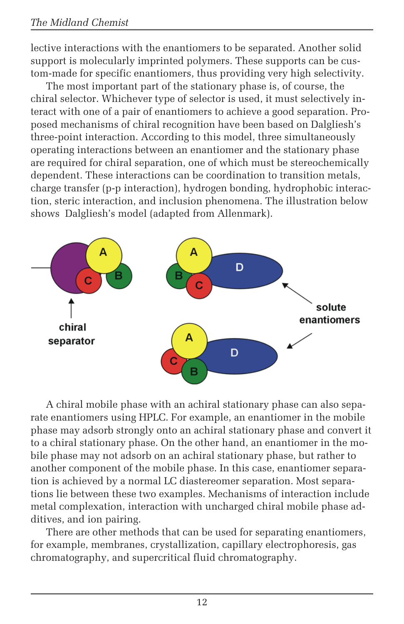#### *The Midland Chemist*

lective interactions with the enantiomers to be separated. Another solid support is molecularly imprinted polymers. These supports can be custom-made for specific enantiomers, thus providing very high selectivity.

The most important part of the stationary phase is, of course, the chiral selector. Whichever type of selector is used, it must selectively interact with one of a pair of enantiomers to achieve a good separation. Proposed mechanisms of chiral recognition have been based on Dalgliesh's three-point interaction. According to this model, three simultaneously operating interactions between an enantiomer and the stationary phase are required for chiral separation, one of which must be stereochemically dependent. These interactions can be coordination to transition metals, charge transfer (p-p interaction), hydrogen bonding, hydrophobic interaction, steric interaction, and inclusion phenomena. The illustration below shows Dalgliesh's model (adapted from Allenmark).



A chiral mobile phase with an achiral stationary phase can also separate enantiomers using HPLC. For example, an enantiomer in the mobile phase may adsorb strongly onto an achiral stationary phase and convert it to a chiral stationary phase. On the other hand, an enantiomer in the mobile phase may not adsorb on an achiral stationary phase, but rather to another component of the mobile phase. In this case, enantiomer separation is achieved by a normal LC diastereomer separation. Most separations lie between these two examples. Mechanisms of interaction include metal complexation, interaction with uncharged chiral mobile phase additives, and ion pairing.

There are other methods that can be used for separating enantiomers, for example, membranes, crystallization, capillary electrophoresis, gas chromatography, and supercritical fluid chromatography.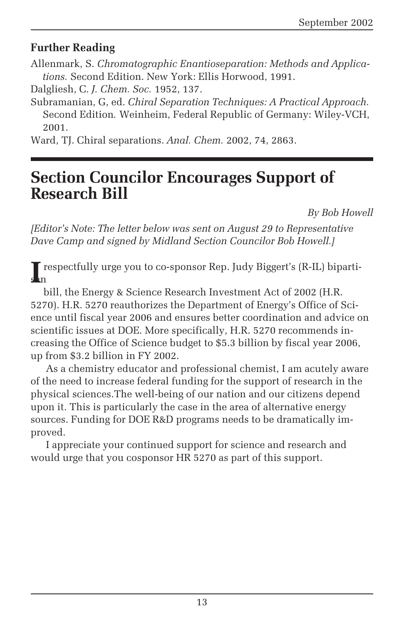#### **Further Reading**

Allenmark, S. *Chromatographic Enantioseparation: Methods and Applications.* Second Edition. New York: Ellis Horwood, 1991.

Dalgliesh, C. *J. Chem. Soc.* 1952, 137.

Subramanian, G, ed. *Chiral Separation Techniques: A Practical Approach.* Second Edition*.* Weinheim, Federal Republic of Germany: Wiley-VCH, 2001.

Ward, TJ. Chiral separations. *Anal. Chem.* 2002, 74, 2863.

# **Section Councilor Encourages Support of Research Bill**

*By Bob Howell*

*[Editor's Note: The letter below was sent on August 29 to Representative Dave Camp and signed by Midland Section Councilor Bob Howell.]*

**I** respectfully urge you to co-sponsor Rep. Judy Biggert's (R-IL) biparti-<br>n san

 bill, the Energy & Science Research Investment Act of 2002 (H.R. 5270). H.R. 5270 reauthorizes the Department of Energy's Office of Science until fiscal year 2006 and ensures better coordination and advice on scientific issues at DOE. More specifically, H.R. 5270 recommends increasing the Office of Science budget to \$5.3 billion by fiscal year 2006, up from \$3.2 billion in FY 2002.

As a chemistry educator and professional chemist, I am acutely aware of the need to increase federal funding for the support of research in the physical sciences.The well-being of our nation and our citizens depend upon it. This is particularly the case in the area of alternative energy sources. Funding for DOE R&D programs needs to be dramatically improved.

I appreciate your continued support for science and research and would urge that you cosponsor HR 5270 as part of this support.